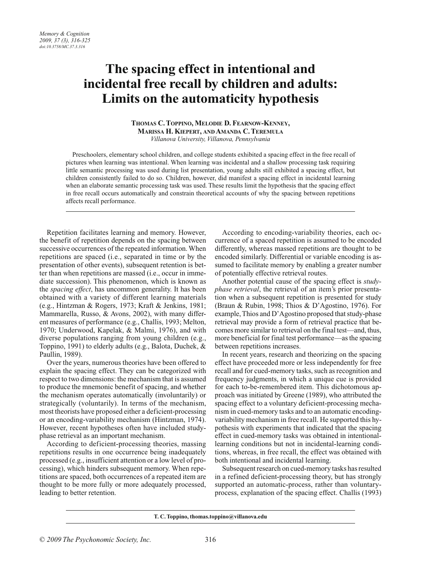# **The spacing effect in intentional and incidental free recall by children and adults: Limits on the automaticity hypothesis**

# **THOMAS C. TOPPINO, MELODIE D. FEARNOW-KENNEY, MARISSA H. KIEPERT, AND AMANDA C. TEREMULA** *Villanova University, Villanova, Pennsylvania*

Preschoolers, elementary school children, and college students exhibited a spacing effect in the free recall of pictures when learning was intentional. When learning was incidental and a shallow processing task requiring little semantic processing was used during list presentation, young adults still exhibited a spacing effect, but children consistently failed to do so. Children, however, did manifest a spacing effect in incidental learning when an elaborate semantic processing task was used. These results limit the hypothesis that the spacing effect in free recall occurs automatically and constrain theoretical accounts of why the spacing between repetitions affects recall performance.

Repetition facilitates learning and memory. However, the benefit of repetition depends on the spacing between successive occurrences of the repeated information. When repetitions are spaced (i.e., separated in time or by the presentation of other events), subsequent retention is better than when repetitions are massed (i.e., occur in immediate succession). This phenomenon, which is known as the *spacing effect*, has uncommon generality. It has been obtained with a variety of different learning materials (e.g., Hintzman & Rogers, 1973; Kraft & Jenkins, 1981; Mammarella, Russo, & Avons, 2002), with many different measures of performance (e.g., Challis, 1993; Melton, 1970; Underwood, Kapelak, & Malmi, 1976), and with diverse populations ranging from young children (e.g., Toppino, 1991) to elderly adults (e.g., Balota, Duchek, & Paullin, 1989).

Over the years, numerous theories have been offered to explain the spacing effect. They can be categorized with respect to two dimensions: the mechanism that is assumed to produce the mnemonic benefit of spacing, and whether the mechanism operates automatically (involuntarily) or strategically (voluntarily). In terms of the mechanism, most theorists have proposed either a deficient-processing or an encoding-variability mechanism (Hintzman, 1974). However, recent hypotheses often have included studyphase retrieval as an important mechanism.

According to deficient-processing theories, massing repetitions results in one occurrence being inadequately processed (e.g., insufficient attention or a low level of processing), which hinders subsequent memory. When repetitions are spaced, both occurrences of a repeated item are thought to be more fully or more adequately processed, leading to better retention.

According to encoding-variability theories, each occurrence of a spaced repetition is assumed to be encoded differently, whereas massed repetitions are thought to be encoded similarly. Differential or variable encoding is assumed to facilitate memory by enabling a greater number of potentially effective retrieval routes.

Another potential cause of the spacing effect is *studyphase retrieval*, the retrieval of an item's prior presentation when a subsequent repetition is presented for study (Braun & Rubin, 1998; Thios & D'Agostino, 1976). For example, Thios and D'Agostino proposed that study-phase retrieval may provide a form of retrieval practice that becomes more similar to retrieval on the final test—and, thus, more beneficial for final test performance—as the spacing between repetitions increases.

In recent years, research and theorizing on the spacing effect have proceeded more or less independently for free recall and for cued-memory tasks, such as recognition and frequency judgments, in which a unique cue is provided for each to-be-remembered item. This dichotomous approach was initiated by Greene (1989), who attributed the spacing effect to a voluntary deficient-processing mechanism in cued-memory tasks and to an automatic encodingvariability mechanism in free recall. He supported this hypothesis with experiments that indicated that the spacing effect in cued-memory tasks was obtained in intentionallearning conditions but not in incidental-learning conditions, whereas, in free recall, the effect was obtained with both intentional and incidental learning.

Subsequent research on cued-memory tasks has resulted in a refined deficient-processing theory, but has strongly supported an automatic-process, rather than voluntaryprocess, explanation of the spacing effect. Challis (1993)

**T. C. Toppino, thomas.toppino@villanova.edu**

<sup>©</sup> *2009 The Psychonomic Society, Inc.* 316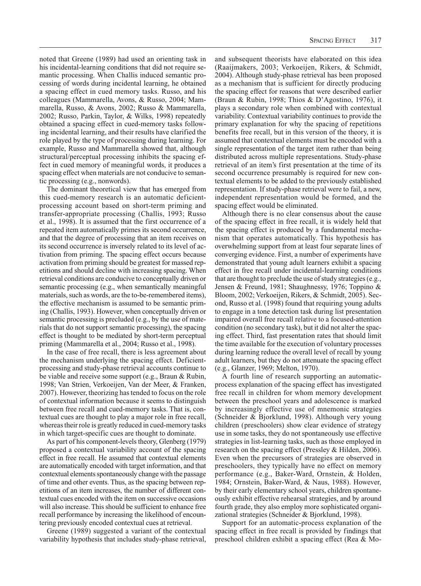noted that Greene (1989) had used an orienting task in his incidental-learning conditions that did not require semantic processing. When Challis induced semantic processing of words during incidental learning, he obtained a spacing effect in cued memory tasks. Russo, and his colleagues (Mammarella, Avons, & Russo, 2004; Mammarella, Russo, & Avons, 2002; Russo & Mammarella, 2002; Russo, Parkin, Taylor, & Wilks, 1998) repeatedly obtained a spacing effect in cued-memory tasks following incidental learning, and their results have clarified the role played by the type of processing during learning. For example, Russo and Mammarella showed that, although structural/perceptual processing inhibits the spacing effect in cued memory of meaningful words, it produces a spacing effect when materials are not conducive to semantic processing (e.g., nonwords).

The dominant theoretical view that has emerged from this cued-memory research is an automatic deficientprocessing account based on short-term priming and transfer-appropriate processing (Challis, 1993; Russo et al., 1998). It is assumed that the first occurrence of a repeated item automatically primes its second occurrence, and that the degree of processing that an item receives on its second occurrence is inversely related to its level of activation from priming. The spacing effect occurs because activation from priming should be greatest for massed repetitions and should decline with increasing spacing. When retrieval conditions are conducive to conceptually driven or semantic processing (e.g., when semantically meaningful materials, such as words, are the to-be-remembered items), the effective mechanism is assumed to be semantic priming (Challis, 1993). However, when conceptually driven or semantic processing is precluded (e.g., by the use of materials that do not support semantic processing), the spacing effect is thought to be mediated by short-term perceptual priming (Mammarella et al., 2004; Russo et al., 1998).

In the case of free recall, there is less agreement about the mechanism underlying the spacing effect. Deficientprocessing and study-phase retrieval accounts continue to be viable and receive some support (e.g., Braun & Rubin, 1998; Van Strien, Verkoeijen, Van der Meer, & Franken, 2007). However, theorizing has tended to focus on the role of contextual information because it seems to distinguish between free recall and cued-memory tasks. That is, contextual cues are thought to play a major role in free recall, whereas their role is greatly reduced in cued-memory tasks in which target-specific cues are thought to dominate.

As part of his component-levels theory, Glenberg (1979) proposed a contextual variability account of the spacing effect in free recall. He assumed that contextual elements are automatically encoded with target information, and that contextual elements spontaneously change with the passage of time and other events. Thus, as the spacing between repetitions of an item increases, the number of different contextual cues encoded with the item on successive occasions will also increase. This should be sufficient to enhance free recall performance by increasing the likelihood of encountering previously encoded contextual cues at retrieval.

Greene (1989) suggested a variant of the contextual variability hypothesis that includes study-phase retrieval, and subsequent theorists have elaborated on this idea (Raaijmakers, 2003; Verkoeijen, Rikers, & Schmidt, 2004). Although study-phase retrieval has been proposed as a mechanism that is sufficient for directly producing the spacing effect for reasons that were described earlier (Braun & Rubin, 1998; Thios & D'Agostino, 1976), it plays a secondary role when combined with contextual variability. Contextual variability continues to provide the primary explanation for why the spacing of repetitions benefits free recall, but in this version of the theory, it is assumed that contextual elements must be encoded with a single representation of the target item rather than being distributed across multiple representations. Study-phase retrieval of an item's first presentation at the time of its second occurrence presumably is required for new contextual elements to be added to the previously established representation. If study-phase retrieval were to fail, a new, independent representation would be formed, and the spacing effect would be eliminated.

Although there is no clear consensus about the cause of the spacing effect in free recall, it is widely held that the spacing effect is produced by a fundamental mechanism that operates automatically. This hypothesis has overwhelming support from at least four separate lines of converging evidence. First, a number of experiments have demonstrated that young adult learners exhibit a spacing effect in free recall under incidental-learning conditions that are thought to preclude the use of study strategies (e.g., Jensen & Freund, 1981; Shaughnessy, 1976; Toppino & Bloom, 2002; Verkoeijen, Rikers, & Schmidt, 2005). Second, Russo et al. (1998) found that requiring young adults to engage in a tone detection task during list presentation impaired overall free recall relative to a focused-attention condition (no secondary task), but it did not alter the spacing effect. Third, fast presentation rates that should limit the time available for the execution of voluntary processes during learning reduce the overall level of recall by young adult learners, but they do not attenuate the spacing effect (e.g., Glanzer, 1969; Melton, 1970).

A fourth line of research supporting an automatic process explanation of the spacing effect has investigated free recall in children for whom memory development between the preschool years and adolescence is marked by increasingly effective use of mnemonic strategies (Schneider & Bjorklund, 1998). Although very young children (preschoolers) show clear evidence of strategy use in some tasks, they do not spontaneously use effective strategies in list-learning tasks, such as those employed in research on the spacing effect (Pressley & Hilden, 2006). Even when the precursors of strategies are observed in preschoolers, they typically have no effect on memory performance (e.g., Baker-Ward, Ornstein, & Holden, 1984; Ornstein, Baker-Ward, & Naus, 1988). However, by their early elementary school years, children spontaneously exhibit effective rehearsal strategies, and by around fourth grade, they also employ more sophisticated organizational strategies (Schneider & Bjorklund, 1998).

Support for an automatic-process explanation of the spacing effect in free recall is provided by findings that preschool children exhibit a spacing effect (Rea & Mo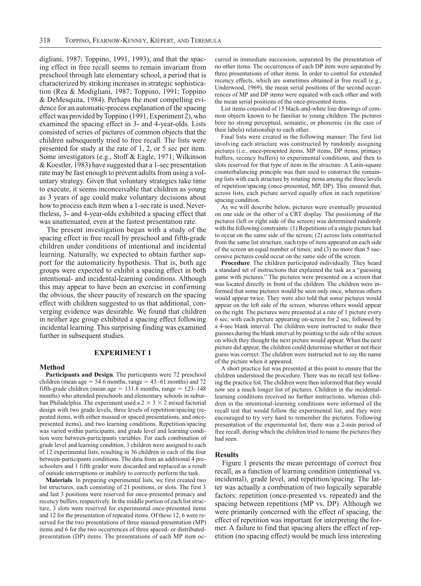digliani, 1987; Toppino, 1991, 1993), and that the spacing effect in free recall seems to remain invariant from preschool through late elementary school, a period that is characterized by striking increases in strategic sophistication (Rea & Modigliani, 1987; Toppino, 1991; Toppino & DeMesquita, 1984). Perhaps the most compelling evidence for an automatic-process explanation of the spacing effect was provided by Toppino (1991, Experiment 2), who examined the spacing effect in 3- and 4-year-olds. Lists consisted of series of pictures of common objects that the children subsequently tried to free recall. The lists were presented for study at the rate of 1, 2, or 5 sec per item. Some investigators (e.g., Stoff & Eagle, 1971; Wilkinson & Koestler, 1983) have suggested that a 1-sec presentation rate may be fast enough to prevent adults from using a voluntary strategy. Given that voluntary strategies take time to execute, it seems inconceivable that children as young as 3 years of age could make voluntary decisions about how to process each item when a 1-sec rate is used. Nevertheless, 3- and 4-year-olds exhibited a spacing effect that was unattenuated, even at the fastest presentation rate.

The present investigation began with a study of the spacing effect in free recall by preschool and fifth-grade children under conditions of intentional and incidental learning. Naturally, we expected to obtain further support for the automaticity hypothesis. That is, both age groups were expected to exhibit a spacing effect in both intentional- and incidental-learning conditions. Although this may appear to have been an exercise in confirming the obvious, the sheer paucity of research on the spacing effect with children suggested to us that additional, converging evidence was desirable. We found that children in neither age group exhibited a spacing effect following incidental learning. This surprising finding was examined further in subsequent studies.

# **EXPERIMENT 1**

# **Method**

**Participants and Design**. The participants were 72 preschool children (mean age  $= 54.6$  months, range  $= 43-61$  months) and 72 fifth-grade children (mean age  $= 131.8$  months, range  $= 123-148$ months) who attended preschools and elementary schools in suburban Philadelphia. The experiment used a  $2 \times 3 \times 2$  mixed factorial design with two grade levels, three levels of repetition/spacing (repeated items, with either massed or spaced presentations, and oncepresented items), and two learning conditions. Repetition/spacing was varied within participants, and grade level and learning condition were between-participants variables. For each combination of grade level and learning condition, 3 children were assigned to each of 12 experimental lists, resulting in 36 children in each of the four between-participants conditions. The data from an additional 4 preschoolers and 1 fifth grader were discarded and replaced as a result of outside interruptions or inability to correctly perform the task.

**Materials**. In preparing experimental lists, we first created two list structures, each consisting of 21 positions, or slots. The first 3 and last 3 positions were reserved for once-presented primacy and recency buffers, respectively. In the middle portion of each list structure, 3 slots were reserved for experimental once-presented items and 12 for the presentation of repeated items. Of these 12, 6 were reserved for the two presentations of three massed-presentation (MP) items and 6 for the two occurrences of three spaced- or distributed presentation (DP) items. The presentations of each MP item occurred in immediate succession, separated by the presentation of no other items. The occurrences of each DP item were separated by three presentations of other items. In order to control for extended recency effects, which are sometimes obtained in free recall (e.g., Underwood, 1969), the mean serial positions of the second occurrences of MP and DP items were equated with each other and with the mean serial positions of the once-presented items.

List items consisted of 15 black-and-white line drawings of common objects known to be familiar to young children. The pictures bore no strong perceptual, semantic, or phonemic (in the case of their labels) relationship to each other.

Final lists were created in the following manner: The first list involving each structure was constructed by randomly assigning pictures (i.e., once-presented items, MP items, DP items, primacy buffers, recency buffers) to experimental conditions, and then to slots reserved for that type of item in the structure. A Latin-square counterbalancing principle was then used to construct the remaining lists with each structure by rotating items among the three levels of repetition/spacing (once-presented, MP, DP). This ensured that, across lists, each picture served equally often in each repetition/ spacing condition.

As we will describe below, pictures were eventually presented on one side or the other of a CRT display. The positioning of the pictures (left or right side of the screen) was determined randomly with the following constraints: (1) Repetitions of a single picture had to occur on the same side of the screen; (2) across lists constructed from the same list structure, each type of item appeared on each side of the screen an equal number of times; and (3) no more than 5 successive pictures could occur on the same side of the screen.

**Procedure**. The children participated individually. They heard a standard set of instructions that explained the task as a "guessing game with pictures." The pictures were presented on a screen that was located directly in front of the children. The children were informed that some pictures would be seen only once, whereas others would appear twice. They were also told that some pictures would appear on the left side of the screen, whereas others would appear on the right. The pictures were presented at a rate of 1 picture every 6 sec, with each picture appearing on-screen for 2 sec, followed by a 4-sec blank interval. The children were instructed to make their guesses during the blank interval by pointing to the side of the screen on which they thought the next picture would appear. When the next picture did appear, the children could determine whether or not their guess was correct. The children were instructed not to say the name of the picture when it appeared.

A short practice list was presented at this point to ensure that the children understood the procedure. There was no recall test following the practice list. The children were then informed that they would now see a much longer list of pictures. Children in the incidental learning conditions received no further instructions, whereas children in the intentional-learning conditions were informed of the recall test that would follow the experimental list, and they were encouraged to try very hard to remember the pictures. Following presentation of the experimental list, there was a 2-min period of free recall, during which the children tried to name the pictures they had seen.

#### **Results**

Figure 1 presents the mean percentage of correct free recall, as a function of learning condition (intentional vs. incidental), grade level, and repetition/spacing. The latter was actually a combination of two logically separable factors: repetition (once-presented vs. repeated) and the spacing between repetitions (MP vs. DP). Although we were primarily concerned with the effect of spacing, the effect of repetition was important for interpreting the former. A failure to find that spacing alters the effect of repetition (no spacing effect) would be much less interesting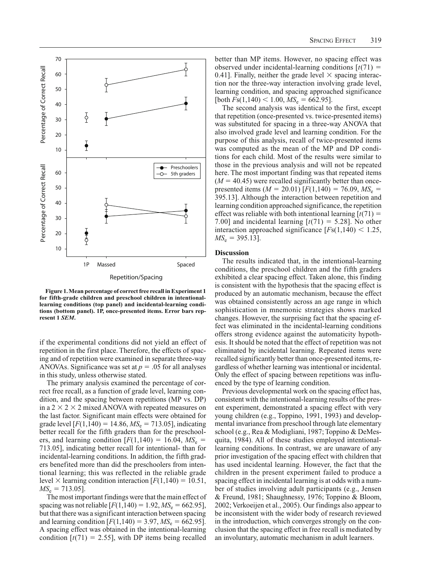

**Figure 1. Mean percentage of correct free recall in Experiment 1 for fifth-grade children and preschool children in intentional learning conditions (top panel) and incidental-learning conditions (bottom panel). 1P, once-presented items. Error bars represent 1** *SEM***.**

if the experimental conditions did not yield an effect of repetition in the first place. Therefore, the effects of spacing and of repetition were examined in separate three-way ANOVAs. Significance was set at  $p = 0.05$  for all analyses in this study, unless otherwise stated.

The primary analysis examined the percentage of correct free recall, as a function of grade level, learning condition, and the spacing between repetitions (MP vs. DP) in a  $2 \times 2 \times 2$  mixed ANOVA with repeated measures on the last factor. Significant main effects were obtained for grade level  $[F(1,140) = 14.86, MS_e = 713.05]$ , indicating better recall for the fifth graders than for the preschoolers, and learning condition  $[F(1,140) = 16.04, MS_e$ 713.05], indicating better recall for intentional- than for incidental-learning conditions. In addition, the fifth graders benefited more than did the preschoolers from intentional learning; this was reflected in the reliable grade level  $\times$  learning condition interaction  $[F(1,140) = 10.51]$ ,  $MS_e = 713.05$ .

The most important findings were that the main effect of spacing was not reliable  $[F(1,140) = 1.92, MS_e = 662.95]$ , but that there was a significant interaction between spacing and learning condition  $[F(1,140) = 3.97, MS_e = 662.95]$ . A spacing effect was obtained in the intentional-learning condition  $[t(71) = 2.55]$ , with DP items being recalled better than MP items. However, no spacing effect was observed under incidental-learning conditions  $[t(71) =$ 0.41]. Finally, neither the grade level  $\times$  spacing interaction nor the three-way interaction involving grade level, learning condition, and spacing approached significance  $[both F<sub>S</sub>(1,140) < 1.00, MS<sub>e</sub> = 662.95].$ 

The second analysis was identical to the first, except that repetition (once-presented vs. twice-presented items) was substituted for spacing in a three-way ANOVA that also involved grade level and learning condition. For the purpose of this analysis, recall of twice-presented items was computed as the mean of the MP and DP conditions for each child. Most of the results were similar to those in the previous analysis and will not be repeated here. The most important finding was that repeated items  $(M = 40.45)$  were recalled significantly better than oncepresented items ( $M = 20.01$ ) [ $F(1,140) = 76.09$ ,  $MS_e$ 395.13]. Although the interaction between repetition and learning condition approached significance, the repetition effect was reliable with both intentional learning  $[t(71) =$ 7.00] and incidental learning  $[t(71) = 5.28]$ . No other interaction approached significance  $[Fs(1,140) < 1.25,$  $MS_e = 395.13$ .

### **Discussion**

The results indicated that, in the intentional-learning conditions, the preschool children and the fifth graders exhibited a clear spacing effect. Taken alone, this finding is consistent with the hypothesis that the spacing effect is produced by an automatic mechanism, because the effect was obtained consistently across an age range in which sophistication in mnemonic strategies shows marked changes. However, the surprising fact that the spacing effect was eliminated in the incidental-learning conditions offers strong evidence against the automaticity hypothesis. It should be noted that the effect of repetition was not eliminated by incidental learning. Repeated items were recalled significantly better than once-presented items, regardless of whether learning was intentional or incidental. Only the effect of spacing between repetitions was influenced by the type of learning condition.

Previous developmental work on the spacing effect has, consistent with the intentional-learning results of the present experiment, demonstrated a spacing effect with very young children (e.g., Toppino, 1991, 1993) and developmental invariance from preschool through late elementary school (e.g., Rea & Modigliani, 1987; Toppino & DeMesquita, 1984). All of these studies employed intentionallearning conditions. In contrast, we are unaware of any prior investigation of the spacing effect with children that has used incidental learning. However, the fact that the children in the present experiment failed to produce a spacing effect in incidental learning is at odds with a number of studies involving adult participants (e.g., Jensen & Freund, 1981; Shaughnessy, 1976; Toppino & Bloom, 2002; Verkoeijen et al., 2005). Our findings also appear to be inconsistent with the wider body of research reviewed in the introduction, which converges strongly on the conclusion that the spacing effect in free recall is mediated by an involuntary, automatic mechanism in adult learners.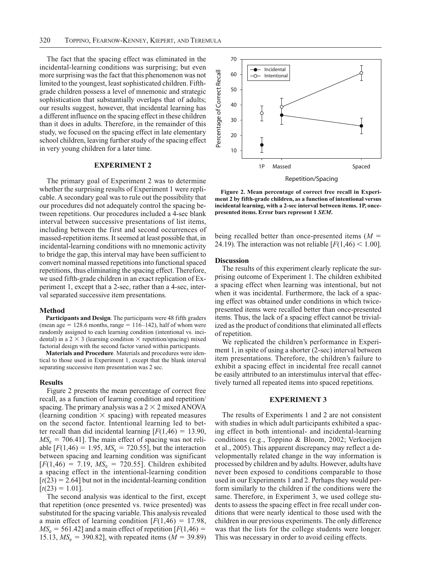The fact that the spacing effect was eliminated in the incidental-learning conditions was surprising; but even more surprising was the fact that this phenomenon was not limited to the youngest, least sophisticated children. Fifthgrade children possess a level of mnemonic and strategic sophistication that substantially overlaps that of adults; our results suggest, however, that incidental learning has a different influence on the spacing effect in these children than it does in adults. Therefore, in the remainder of this study, we focused on the spacing effect in late elementary school children, leaving further study of the spacing effect in very young children for a later time.

# **EXPERIMENT 2**

The primary goal of Experiment 2 was to determine whether the surprising results of Experiment 1 were replicable. A secondary goal was to rule out the possibility that our procedures did not adequately control the spacing between repetitions. Our procedures included a 4-sec blank interval between successive presentations of list items, including between the first and second occurrences of massed-repetition items. It seemed at least possible that, in incidental-learning conditions with no mnemonic activity to bridge the gap, this interval may have been sufficient to convert nominal massed repetitions into functional spaced repetitions, thus eliminating the spacing effect. Therefore, we used fifth-grade children in an exact replication of Experiment 1, except that a 2-sec, rather than a 4-sec, interval separated successive item presentations.

#### **Method**

**Participants and Design**. The participants were 48 fifth graders (mean age  $= 128.6$  months, range  $= 116-142$ ), half of whom were randomly assigned to each learning condition (intentional vs. incidental) in a  $2 \times 3$  (learning condition  $\times$  repetition/spacing) mixed factorial design with the second factor varied within participants.

**Materials and Procedure**. Materials and procedures were identical to those used in Experiment 1, except that the blank interval separating successive item presentation was 2 sec.

# **Results**

Figure 2 presents the mean percentage of correct free recall, as a function of learning condition and repetition/ spacing. The primary analysis was a  $2 \times 2$  mixed ANOVA (learning condition  $\times$  spacing) with repeated measures on the second factor. Intentional learning led to better recall than did incidental learning  $[F(1,46) = 13.90]$ ,  $MS_e = 706.41$ ]. The main effect of spacing was not reliable  $[F(1,46) = 1.95, MS_e = 720.55]$ , but the interaction between spacing and learning condition was significant  $[F(1,46) = 7.19, M_s = 720.55]$ . Children exhibited a spacing effect in the intentional-learning condition  $[t(23) = 2.64]$  but not in the incidental-learning condition  $[t(23) = 1.01]$ .

The second analysis was identical to the first, except that repetition (once presented vs. twice presented) was substituted for the spacing variable. This analysis revealed a main effect of learning condition  $[F(1,46) = 17.98]$ ,  $MS_e = 561.42$ ] and a main effect of repetition  $[F(1,46) =$ 15.13,  $MS_e = 390.82$ ], with repeated items ( $M = 39.89$ )



**Figure 2. Mean percentage of correct free recall in Experiment 2 by fifth-grade children, as a function of intentional versus incidental learning, with a 2-sec interval between items. 1P, oncepresented items. Error bars represent 1** *SEM***.**

being recalled better than once-presented items (*M* 24.19). The interaction was not reliable  $[F(1,46) < 1.00]$ .

# **Discussion**

The results of this experiment clearly replicate the surprising outcome of Experiment 1. The children exhibited a spacing effect when learning was intentional, but not when it was incidental. Furthermore, the lack of a spacing effect was obtained under conditions in which twicepresented items were recalled better than once-presented items. Thus, the lack of a spacing effect cannot be trivialized as the product of conditions that eliminated all effects of repetition.

We replicated the children's performance in Experiment 1, in spite of using a shorter (2-sec) interval between item presentations. Therefore, the children's failure to exhibit a spacing effect in incidental free recall cannot be easily attributed to an interstimulus interval that effectively turned all repeated items into spaced repetitions.

# **EXPERIMENT 3**

The results of Experiments 1 and 2 are not consistent with studies in which adult participants exhibited a spacing effect in both intentional- and incidental-learning conditions (e.g., Toppino & Bloom, 2002; Verkoeijen et al., 2005). This apparent discrepancy may reflect a developmentally related change in the way information is processed by children and by adults. However, adults have never been exposed to conditions comparable to those used in our Experiments 1 and 2. Perhaps they would perform similarly to the children if the conditions were the same. Therefore, in Experiment 3, we used college students to assess the spacing effect in free recall under conditions that were nearly identical to those used with the children in our previous experiments. The only difference was that the lists for the college students were longer. This was necessary in order to avoid ceiling effects.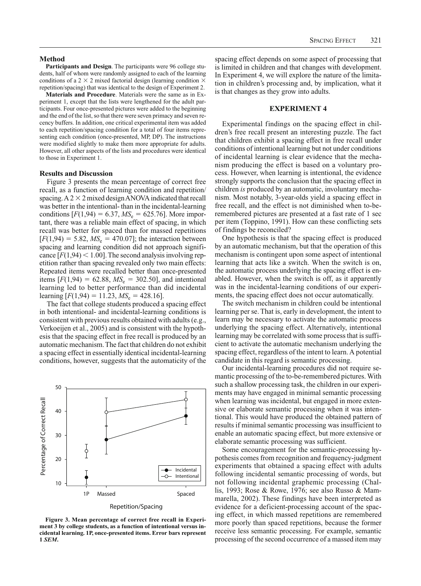**Participants and Design**. The participants were 96 college students, half of whom were randomly assigned to each of the learning conditions of a 2  $\times$  2 mixed factorial design (learning condition  $\times$ repetition/spacing) that was identical to the design of Experiment 2.

**Materials and Procedure**. Materials were the same as in Experiment 1, except that the lists were lengthened for the adult participants. Four once-presented pictures were added to the beginning and the end of the list, so that there were seven primacy and seven recency buffers. In addition, one critical experimental item was added to each repetition/spacing condition for a total of four items representing each condition (once-presented, MP, DP). The instructions were modified slightly to make them more appropriate for adults. However, all other aspects of the lists and procedures were identical to those in Experiment 1.

# **Results and Discussion**

Figure 3 presents the mean percentage of correct free recall, as a function of learning condition and repetition/ spacing.  $A$  2  $\times$  2 mixed design ANOVA indicated that recall was better in the intentional- than in the incidental-learning conditions  $[F(1,94) = 6.37, MS_e = 625.76]$ . More important, there was a reliable main effect of spacing, in which recall was better for spaced than for massed repetitions  $[F(1,94) = 5.82, MS_e = 470.07]$ ; the interaction between spacing and learning condition did not approach significance  $[F(1, 94)$  < 1.00]. The second analysis involving repetition rather than spacing revealed only two main effects: Repeated items were recalled better than once-presented items  $[F(1,94) = 62.88, MS_e = 302.50]$ , and intentional learning led to better performance than did incidental learning  $[F(1,94) = 11.23, MS_e = 428.16]$ .

The fact that college students produced a spacing effect in both intentional- and incidental-learning conditions is consistent with previous results obtained with adults (e.g., Verkoeijen et al., 2005) and is consistent with the hypothesis that the spacing effect in free recall is produced by an automatic mechanism. The fact that children do not exhibit a spacing effect in essentially identical incidental-learning conditions, however, suggests that the automaticity of the



**Figure 3. Mean percentage of correct free recall in Experiment 3 by college students, as a function of intentional versus incidental learning. 1P, once-presented items. Error bars represent 1** *SEM***.**

spacing effect depends on some aspect of processing that is limited in children and that changes with development. In Experiment 4, we will explore the nature of the limitation in children's processing and, by implication, what it is that changes as they grow into adults.

# **EXPERIMENT 4**

Experimental findings on the spacing effect in children's free recall present an interesting puzzle. The fact that children exhibit a spacing effect in free recall under conditions of intentional learning but not under conditions of incidental learning is clear evidence that the mechanism producing the effect is based on a voluntary process. However, when learning is intentional, the evidence strongly supports the conclusion that the spacing effect in children *is* produced by an automatic, involuntary mechanism. Most notably, 3-year-olds yield a spacing effect in free recall, and the effect is not diminished when to-beremembered pictures are presented at a fast rate of 1 sec per item (Toppino, 1991). How can these conflicting sets of findings be reconciled?

One hypothesis is that the spacing effect is produced by an automatic mechanism, but that the operation of this mechanism is contingent upon some aspect of intentional learning that acts like a switch. When the switch is on, the automatic process underlying the spacing effect is enabled. However, when the switch is off, as it apparently was in the incidental-learning conditions of our experiments, the spacing effect does not occur automatically.

The switch mechanism in children could be intentional learning per se. That is, early in development, the intent to learn may be necessary to activate the automatic process underlying the spacing effect. Alternatively, intentional learning may be correlated with some process that is sufficient to activate the automatic mechanism underlying the spacing effect, regardless of the intent to learn. A potential candidate in this regard is semantic processing.

Our incidental-learning procedures did not require semantic processing of the to-be-remembered pictures. With such a shallow processing task, the children in our experiments may have engaged in minimal semantic processing when learning was incidental, but engaged in more extensive or elaborate semantic processing when it was intentional. This would have produced the obtained pattern of results if minimal semantic processing was insufficient to enable an automatic spacing effect, but more extensive or elaborate semantic processing was sufficient.

Some encouragement for the semantic-processing hypothesis comes from recognition and frequency-judgment experiments that obtained a spacing effect with adults following incidental semantic processing of words, but not following incidental graphemic processing (Challis, 1993; Rose & Rowe, 1976; see also Russo & Mammarella, 2002). These findings have been interpreted as evidence for a deficient-processing account of the spacing effect, in which massed repetitions are remembered more poorly than spaced repetitions, because the former receive less semantic processing. For example, semantic processing of the second occurrence of a massed item may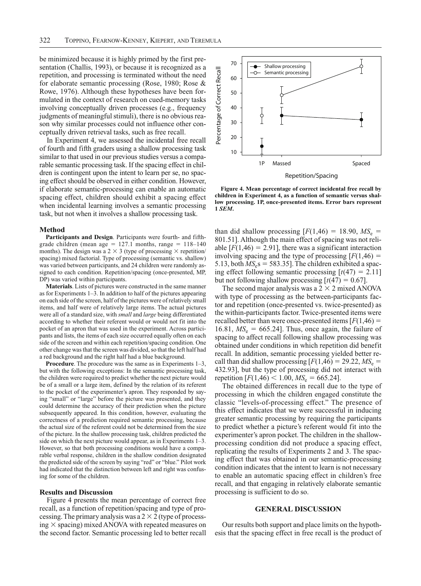be minimized because it is highly primed by the first presentation (Challis, 1993), or because it is recognized as a repetition, and processing is terminated without the need for elaborate semantic processing (Rose, 1980; Rose & Rowe, 1976). Although these hypotheses have been formulated in the context of research on cued-memory tasks involving conceptually driven processes (e.g., frequency judgments of meaningful stimuli), there is no obvious reason why similar processes could not influence other conceptually driven retrieval tasks, such as free recall.

In Experiment 4, we assessed the incidental free recall of fourth and fifth graders using a shallow processing task similar to that used in our previous studies versus a comparable semantic processing task. If the spacing effect in children is contingent upon the intent to learn per se, no spacing effect should be observed in either condition. However, if elaborate semantic-processing can enable an automatic spacing effect, children should exhibit a spacing effect when incidental learning involves a semantic processing task, but not when it involves a shallow processing task.

#### **Method**

**Participants and Design**. Participants were fourth- and fifthgrade children (mean age  $= 127.1$  months, range  $= 118-140$ months). The design was a  $2 \times 3$  (type of processing  $\times$  repetition/ spacing) mixed factorial. Type of processing (semantic vs. shallow) was varied between participants, and 24 children were randomly assigned to each condition. Repetition/spacing (once-presented, MP, DP) was varied within participants.

**Materials**. Lists of pictures were constructed in the same manner as for Experiments  $1-\overline{3}$ . In addition to half of the pictures appearing on each side of the screen, half of the pictures were of relatively small items, and half were of relatively large items. The actual pictures were all of a standard size, with *small* and *large* being differentiated according to whether their referent would or would not fit into the pocket of an apron that was used in the experiment. Across participants and lists, the items of each size occurred equally often on each side of the screen and within each repetition/spacing condition. One other change was that the screen was divided, so that the left half had a red background and the right half had a blue background.

**Procedure**. The procedure was the same as in Experiments 1–3, but with the following exceptions: In the semantic processing task, the children were required to predict whether the next picture would be of a small or a large item, defined by the relation of its referent to the pocket of the experimenter's apron. They responded by saying "small" or "large" before the picture was presented, and they could determine the accuracy of their prediction when the picture subsequently appeared. In this condition, however, evaluating the correctness of a prediction required semantic processing, because the actual size of the referent could not be determined from the size of the picture. In the shallow processing task, children predicted the side on which the next picture would appear, as in Experiments 1–3. However, so that both processing conditions would have a comparable verbal response, children in the shallow condition designated the predicted side of the screen by saying "red" or "blue." Pilot work had indicated that the distinction between left and right was confusing for some of the children.

## **Results and Discussion**

Figure 4 presents the mean percentage of correct free recall, as a function of repetition/spacing and type of processing. The primary analysis was a  $2 \times 2$  (type of processing  $\times$  spacing) mixed ANOVA with repeated measures on the second factor. Semantic processing led to better recall



**Figure 4. Mean percentage of correct incidental free recall by children in Experiment 4, as a function of semantic versus shallow processing. 1P, once-presented items. Error bars represent 1** *SEM***.**

than did shallow processing  $[F(1,46) = 18.90, MS_e]$ 801.51]. Although the main effect of spacing was not reliable  $[F(1,46) = 2.91]$ , there was a significant interaction involving spacing and the type of processing  $[F(1,46) =$ 5.13, both  $MS_e$ s = 583.35]. The children exhibited a spacing effect following semantic processing  $[t(47) = 2.11]$ but not following shallow processing  $[t(47) = 0.67]$ .

The second major analysis was a  $2 \times 2$  mixed ANOVA with type of processing as the between-participants factor and repetition (once-presented vs. twice-presented) as the within-participants factor. Twice-presented items were recalled better than were once-presented items  $[F(1,46) =$ 16.81,  $MS_e = 665.24$ ]. Thus, once again, the failure of spacing to affect recall following shallow processing was obtained under conditions in which repetition did benefit recall. In addition, semantic processing yielded better recall than did shallow processing  $[F(1,46) = 29.22, MS_e =$ 432.93], but the type of processing did not interact with repetition  $[F(1,46) < 1.00, MS_e = 665.24]$ .

The obtained differences in recall due to the type of processing in which the children engaged constitute the classic "levels-of-processing effect." The presence of this effect indicates that we were successful in inducing greater semantic processing by requiring the participants to predict whether a picture's referent would fit into the experimenter's apron pocket. The children in the shallowprocessing condition did not produce a spacing effect, replicating the results of Experiments 2 and 3. The spacing effect that was obtained in our semantic-processing condition indicates that the intent to learn is not necessary to enable an automatic spacing effect in children's free recall, and that engaging in relatively elaborate semantic processing is sufficient to do so.

#### **GENERAL DISCUSSION**

Our results both support and place limits on the hypothesis that the spacing effect in free recall is the product of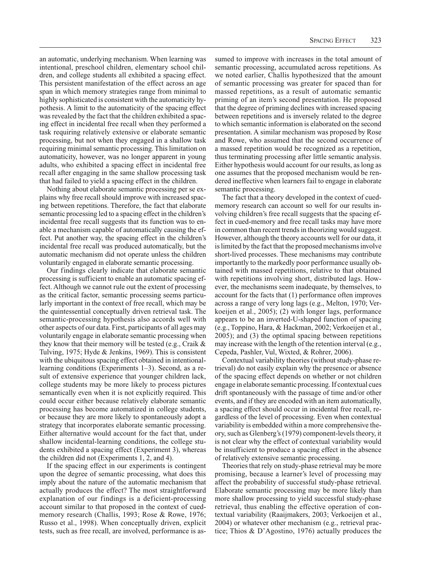an automatic, underlying mechanism. When learning was intentional, preschool children, elementary school children, and college students all exhibited a spacing effect. This persistent manifestation of the effect across an age span in which memory strategies range from minimal to highly sophisticated is consistent with the automaticity hypothesis. A limit to the automaticity of the spacing effect was revealed by the fact that the children exhibited a spacing effect in incidental free recall when they performed a task requiring relatively extensive or elaborate semantic processing, but not when they engaged in a shallow task requiring minimal semantic processing. This limitation on automaticity, however, was no longer apparent in young adults, who exhibited a spacing effect in incidental free recall after engaging in the same shallow processing task that had failed to yield a spacing effect in the children.

Nothing about elaborate semantic processing per se explains why free recall should improve with increased spacing between repetitions. Therefore, the fact that elaborate semantic processing led to a spacing effect in the children's incidental free recall suggests that its function was to enable a mechanism capable of automatically causing the effect. Put another way, the spacing effect in the children's incidental free recall was produced automatically, but the automatic mechanism did not operate unless the children voluntarily engaged in elaborate semantic processing.

Our findings clearly indicate that elaborate semantic processing is sufficient to enable an automatic spacing effect. Although we cannot rule out the extent of processing as the critical factor, semantic processing seems particularly important in the context of free recall, which may be the quintessential conceptually driven retrieval task. The semantic-processing hypothesis also accords well with other aspects of our data. First, participants of all ages may voluntarily engage in elaborate semantic processing when they know that their memory will be tested (e.g., Craik & Tulving, 1975; Hyde & Jenkins, 1969). This is consistent with the ubiquitous spacing effect obtained in intentionallearning conditions (Experiments 1–3). Second, as a result of extensive experience that younger children lack, college students may be more likely to process pictures semantically even when it is not explicitly required. This could occur either because relatively elaborate semantic processing has become automatized in college students, or because they are more likely to spontaneously adopt a strategy that incorporates elaborate semantic processing. Either alternative would account for the fact that, under shallow incidental-learning conditions, the college students exhibited a spacing effect (Experiment 3), whereas the children did not (Experiments 1, 2, and 4).

If the spacing effect in our experiments is contingent upon the degree of semantic processing, what does this imply about the nature of the automatic mechanism that actually produces the effect? The most straightforward explanation of our findings is a deficient-processing account similar to that proposed in the context of cuedmemory research (Challis, 1993; Rose & Rowe, 1976; Russo et al., 1998). When conceptually driven, explicit tests, such as free recall, are involved, performance is assumed to improve with increases in the total amount of semantic processing, accumulated across repetitions. As we noted earlier, Challis hypothesized that the amount of semantic processing was greater for spaced than for massed repetitions, as a result of automatic semantic priming of an item's second presentation. He proposed that the degree of priming declines with increased spacing between repetitions and is inversely related to the degree to which semantic information is elaborated on the second presentation. A similar mechanism was proposed by Rose and Rowe, who assumed that the second occurrence of a massed repetition would be recognized as a repetition, thus terminating processing after little semantic analysis. Either hypothesis would account for our results, as long as one assumes that the proposed mechanism would be rendered ineffective when learners fail to engage in elaborate semantic processing.

The fact that a theory developed in the context of cuedmemory research can account so well for our results involving children's free recall suggests that the spacing effect in cued-memory and free recall tasks may have more in common than recent trends in theorizing would suggest. However, although the theory accounts well for our data, it is limited by the fact that the proposed mechanisms involve short-lived processes. These mechanisms may contribute importantly to the markedly poor performance usually obtained with massed repetitions, relative to that obtained with repetitions involving short, distributed lags. However, the mechanisms seem inadequate, by themselves, to account for the facts that (1) performance often improves across a range of very long lags (e.g., Melton, 1970; Verkoeijen et al., 2005); (2) with longer lags, performance appears to be an inverted-U-shaped function of spacing (e.g., Toppino, Hara, & Hackman, 2002; Verkoeijen et al., 2005); and (3) the optimal spacing between repetitions may increase with the length of the retention interval (e.g., Cepeda, Pashler, Vul, Wixted, & Rohrer, 2006).

Contextual variability theories (without study-phase retrieval) do not easily explain why the presence or absence of the spacing effect depends on whether or not children engage in elaborate semantic processing. If contextual cues drift spontaneously with the passage of time and/or other events, and if they are encoded with an item automatically, a spacing effect should occur in incidental free recall, regardless of the level of processing. Even when contextual variability is embedded within a more comprehensive theory, such as Glenberg's (1979) component- levels theory, it is not clear why the effect of contextual variability would be insufficient to produce a spacing effect in the absence of relatively extensive semantic processing.

Theories that rely on study-phase retrieval may be more promising, because a learner's level of processing may affect the probability of successful study-phase retrieval. Elaborate semantic processing may be more likely than more shallow processing to yield successful study-phase retrieval, thus enabling the effective operation of contextual variability (Raaijmakers, 2003; Verkoeijen et al., 2004) or whatever other mechanism (e.g., retrieval practice; Thios & D'Agostino, 1976) actually produces the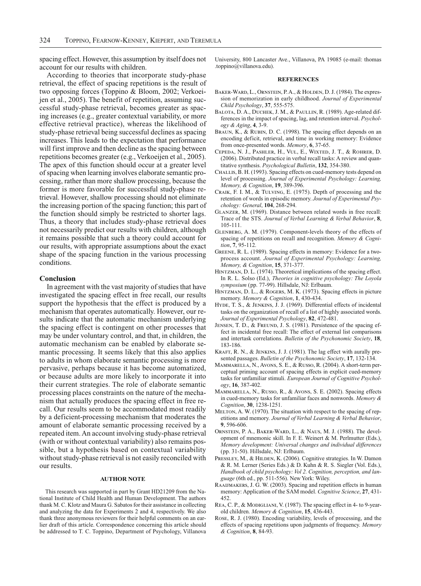spacing effect. However, this assumption by itself does not account for our results with children.

According to theories that incorporate study-phase retrieval, the effect of spacing repetitions is the result of two opposing forces (Toppino & Bloom, 2002; Verkoeijen et al., 2005). The benefit of repetition, assuming successful study-phase retrieval, becomes greater as spacing increases (e.g., greater contextual variability, or more effective retrieval practice), whereas the likelihood of study-phase retrieval being successful declines as spacing increases. This leads to the expectation that performance will first improve and then decline as the spacing between repetitions becomes greater (e.g., Verkoeijen et al., 2005). The apex of this function should occur at a greater level of spacing when learning involves elaborate semantic processing, rather than more shallow processing, because the former is more favorable for successful study-phase retrieval. However, shallow processing should not eliminate the increasing portion of the spacing function; this part of the function should simply be restricted to shorter lags. Thus, a theory that includes study-phase retrieval does not necessarily predict our results with children, although it remains possible that such a theory could account for our results, with appropriate assumptions about the exact shape of the spacing function in the various processing conditions.

### **Conclusion**

In agreement with the vast majority of studies that have investigated the spacing effect in free recall, our results support the hypothesis that the effect is produced by a mechanism that operates automatically. However, our results indicate that the automatic mechanism underlying the spacing effect is contingent on other processes that may be under voluntary control, and that, in children, the automatic mechanism can be enabled by elaborate semantic processing. It seems likely that this also applies to adults in whom elaborate semantic processing is more pervasive, perhaps because it has become automatized, or because adults are more likely to incorporate it into their current strategies. The role of elaborate semantic processing places constraints on the nature of the mechanism that actually produces the spacing effect in free recall. Our results seem to be accommodated most readily by a deficient-processing mechanism that moderates the amount of elaborate semantic processing received by a repeated item. An account involving study-phase retrieval (with or without contextual variability) also remains possible, but a hypothesis based on contextual variability without study-phase retrieval is not easily reconciled with our results.

# **AUTHOR NOTE**

This research was supported in part by Grant HD21209 from the National Institute of Child Health and Human Development. The authors thank M. C. Klotz and Maura G. Sabatos for their assistance in collecting and analyzing the data for Experiments 2 and 4, respectively. We also thank three anonymous reviewers for their helpful comments on an earlier draft of this article. Correspondence concerning this article should be addressed to T. C. Toppino, Department of Psychology, Villanova University, 800 Lancaster Ave., Villanova, PA 19085 (e-mail: thomas .toppino@villanova.edu).

# **REFERENCES**

- BAKER-WARD, L., ORNSTEIN, P. A., & HOLDEN, D. J. (1984). The expression of memorization in early childhood. *Journal of Experimental Child Psychology*, **37**, 555-575.
- BALOTA, D. A., DUCHEK, J. M., & PAULLIN, R. (1989). Age-related differences in the impact of spacing, lag, and retention interval. *Psychology & Aging*, **4**, 3-9.
- BRAUN, K., & RUBIN, D. C. (1998). The spacing effect depends on an encoding deficit, retrieval, and time in working memory: Evidence from once-presented words. *Memory*, **6**, 37-65.
- Cepeda, N. J., Pashler, H., Vul, E., Wixted, J. T., & Rohrer, D. (2006). Distributed practice in verbal recall tasks: A review and quantitative synthesis. *Psychological Bulletin*, **132**, 354-380.
- Challis, B. H. (1993). Spacing effects on cued-memory tests depend on level of processing. *Journal of Experimental Psychology: Learning, Memory, & Cognition*, **19**, 389-396.
- Craik, F. I. M., & Tulving, E. (1975). Depth of processing and the retention of words in episodic memory. *Journal of Experimental Psychology: General*, **104**, 268-294.
- Glanzer, M. (1969). Distance between related words in free recall: Trace of the STS. *Journal of Verbal Learning & Verbal Behavior*, **8**, 105-111.
- Glenberg, A. M. (1979). Component-levels theory of the effects of spacing of repetitions on recall and recognition. *Memory & Cognition*, **7**, 95-112.
- Greene, R. L. (1989). Spacing effects in memory: Evidence for a twoprocess account. *Journal of Experimental Psychology: Learning, Memory, & Cognition*, **15**, 371-377.
- Hintzman, D. L. (1974). Theoretical implications of the spacing effect. In R. L. Solso (Ed.), *Theories in cognitive psychology: The Loyola symposium* (pp. 77-99). Hillsdale, NJ: Erlbaum.
- Hintzman, D. L., & Rogers, M. K. (1973). Spacing effects in picture memory. *Memory & Cognition*, **1**, 430-434.
- HYDE, T. S., & JENKINS, J. J. (1969). Differential effects of incidental tasks on the organization of recall of a list of highly associated words. *Journal of Experimental Psychology*, **82**, 472-481.
- JENSEN, T. D., & FREUND, J. S. (1981). Persistence of the spacing effect in incidental free recall: The effect of external list comparisons and intertask correlations. *Bulletin of the Psychonomic Society*, **18**, 183-186.
- KRAFT, R. N., & JENKINS, J. J. (1981). The lag effect with aurally presented passages. *Bulletin of the Psychonomic Society*, **17**, 132-134.
- Mammarella, N., Avons, S. E., & Russo, R. (2004). A short-term perceptual priming account of spacing effects in explicit cued-memory tasks for unfamiliar stimuli. *European Journal of Cognitive Psychology*, **16**, 387-402.
- Mammarella, N., Russo, R., & Avons, S. E. (2002). Spacing effects in cued-memory tasks for unfamiliar faces and nonwords. *Memory & Cognition*, **30**, 1238-1251.
- MELTON, A. W. (1970). The situation with respect to the spacing of repetitions and memory. *Journal of Verbal Learning & Verbal Behavior*, **9**, 596-606.
- Ornstein, P. A., Baker-Ward, L., & Naus, M. J. (1988). The development of mnemonic skill. In F. E. Weinert & M. Perlmutter (Eds.), *Memory development: Universal changes and individual differences* (pp. 31-50). Hillsdale, NJ: Erlbaum.
- PRESSLEY, M., & HILDEN, K. (2006). Cognitive strategies. In W. Damon & R. M. Lerner (Series Eds.) & D. Kuhn & R. S. Siegler (Vol. Eds.), *Handbook of child psychology: Vol 2. Cognition, perception, and language* (6th ed., pp. 511-556). New York: Wiley.
- RAAIJMAKERS, J. G. W. (2003). Spacing and repetition effects in human memory: Application of the SAM model. *Cognitive Science*, **27**, 431- 452.
- REA, C. P., & MODIGLIANI, V. (1987). The spacing effect in 4- to 9-yearold children. *Memory & Cognition*, **15**, 436-443.
- Rose, R. J. (1980). Encoding variability, levels of processing, and the effects of spacing repetitions upon judgments of frequency. *Memory & Cognition*, **8**, 84-93.